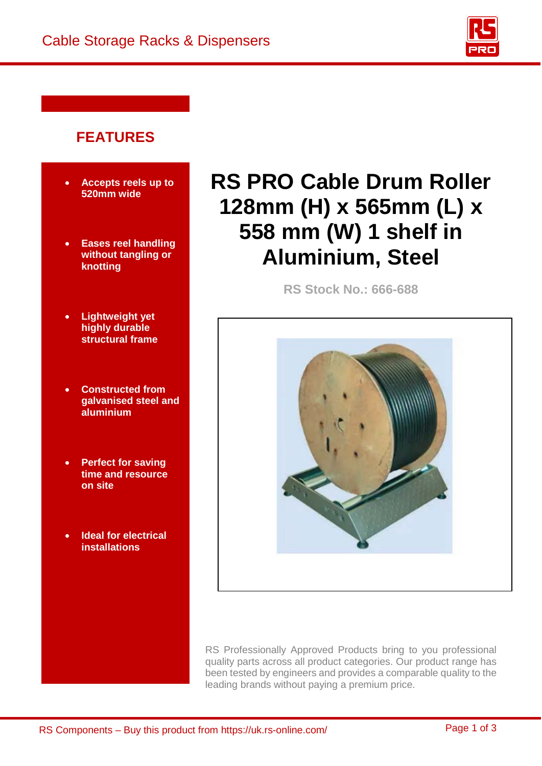

## **FEATURES**

- **Accepts reels up to 520mm wide**
- **Eases reel handling without tangling or knotting**
- **Lightweight yet highly durable structural frame**
- **Constructed from galvanised steel and aluminium**
- **Perfect for saving time and resource on site**
- **Ideal for electrical installations**

# **RS PRO Cable Drum Roller 128mm (H) x 565mm (L) x 558 mm (W) 1 shelf in Aluminium, Steel**

**RS Stock No.: 666-688** 



RS Professionally Approved Products bring to you professional quality parts across all product categories. Our product range has been tested by engineers and provides a comparable quality to the leading brands without paying a premium price.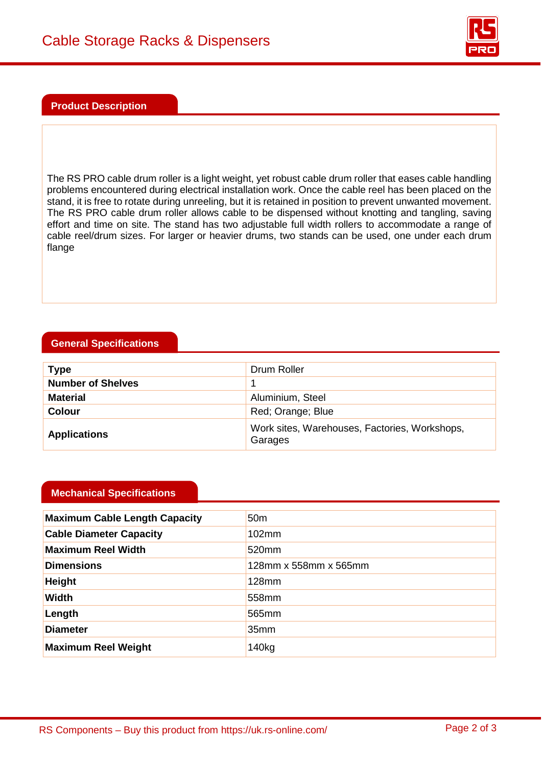

#### **Product Description**

The RS PRO cable drum roller is a light weight, yet robust cable drum roller that eases cable handling problems encountered during electrical installation work. Once the cable reel has been placed on the stand, it is free to rotate during unreeling, but it is retained in position to prevent unwanted movement. The RS PRO cable drum roller allows cable to be dispensed without knotting and tangling, saving effort and time on site. The stand has two adjustable full width rollers to accommodate a range of cable reel/drum sizes. For larger or heavier drums, two stands can be used, one under each drum flange

### **General Specifications**

| <b>Type</b>              | Drum Roller                                              |  |  |
|--------------------------|----------------------------------------------------------|--|--|
| <b>Number of Shelves</b> |                                                          |  |  |
| <b>Material</b>          | Aluminium, Steel                                         |  |  |
| <b>Colour</b>            | Red; Orange; Blue                                        |  |  |
| <b>Applications</b>      | Work sites, Warehouses, Factories, Workshops,<br>Garages |  |  |

#### **Mechanical Specifications**

| <b>Maximum Cable Length Capacity</b> | 50 <sub>m</sub>       |  |  |
|--------------------------------------|-----------------------|--|--|
| <b>Cable Diameter Capacity</b>       | 102mm                 |  |  |
| <b>Maximum Reel Width</b>            | 520 <sub>mm</sub>     |  |  |
| <b>Dimensions</b>                    | 128mm x 558mm x 565mm |  |  |
| <b>Height</b>                        | 128mm                 |  |  |
| <b>Width</b>                         | 558mm                 |  |  |
| Length                               | 565mm                 |  |  |
| <b>Diameter</b>                      | 35 <sub>mm</sub>      |  |  |
| <b>Maximum Reel Weight</b>           | 140 <sub>kg</sub>     |  |  |